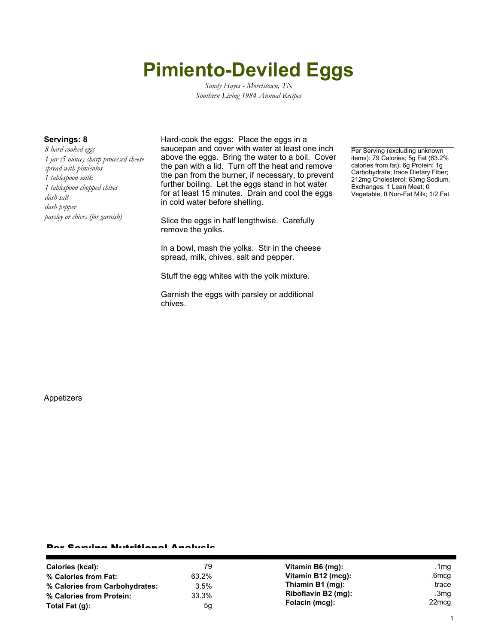# **Pimiento-Deviled Eggs**

*Sandy Hayes - Morristown, TN Southern Living 1984 Annual Recipes*

*8 hard-cooked eggs 1 jar (5 ounce) sharp processed cheese spread with pimientos 1 tablespoon milk 1 tablespoon chopped chives dash salt dash pepper parsley or chives (for garnish)*

**Servings: 8** Hard-cook the eggs: Place the eggs in a saucepan and cover with water at least one inch above the eggs. Bring the water to a boil. Cover the pan with a lid. Turn off the heat and remove the pan from the burner, if necessary, to prevent further boiling. Let the eggs stand in hot water for at least 15 minutes. Drain and cool the eggs in cold water before shelling.

> Slice the eggs in half lengthwise. Carefully remove the yolks.

In a bowl, mash the yolks. Stir in the cheese spread, milk, chives, salt and pepper.

Stuff the egg whites with the yolk mixture.

Garnish the eggs with parsley or additional chives.

Per Serving (excluding unknown items): 79 Calories; 5g Fat (63.2% calories from fat); 6g Protein; 1g Carbohydrate; trace Dietary Fiber; 212mg Cholesterol; 63mg Sodium. Exchanges: 1 Lean Meat; 0 Vegetable; 0 Non-Fat Milk; 1/2 Fat.

Appetizers

### Per Serving Nutritional Analysis

| Calories (kcal):               | 79    | Vitamin B6 (mg):    | .1mg              |
|--------------------------------|-------|---------------------|-------------------|
| % Calories from Fat:           | 63.2% | Vitamin B12 (mcg):  | .6mcq             |
| % Calories from Carbohydrates: | 3.5%  | Thiamin B1 (mg):    | trace             |
| % Calories from Protein:       | 33.3% | Riboflavin B2 (mg): | .3mg              |
| Total Fat $(q)$ :              | 5g    | Folacin (mcg):      | 22 <sub>mcg</sub> |